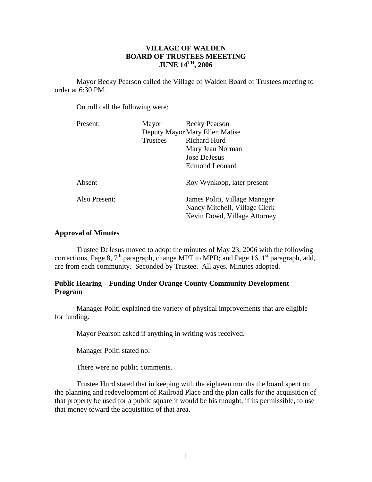# **VILLAGE OF WALDEN BOARD OF TRUSTEES MEEETING JUNE 14TH, 2006**

 Mayor Becky Pearson called the Village of Walden Board of Trustees meeting to order at 6:30 PM.

On roll call the following were:

| Mayor                          | <b>Becky Pearson</b>                                                                           |
|--------------------------------|------------------------------------------------------------------------------------------------|
| Deputy Mayor Mary Ellen Matise |                                                                                                |
| Trustees                       | <b>Richard Hurd</b>                                                                            |
|                                | Mary Jean Norman                                                                               |
|                                | Jose DeJesus                                                                                   |
|                                | <b>Edmond Leonard</b>                                                                          |
|                                | Roy Wynkoop, later present                                                                     |
|                                | James Politi, Village Manager<br>Nancy Mitchell, Village Clerk<br>Kevin Dowd, Village Attorney |
|                                |                                                                                                |

## **Approval of Minutes**

 Trustee DeJesus moved to adopt the minutes of May 23, 2006 with the following corrections, Page 8,  $7<sup>th</sup>$  paragraph, change MPT to MPD; and Page 16,  $1<sup>st</sup>$  paragraph, add, are from each community. Seconded by Trustee. All ayes. Minutes adopted.

# **Public Hearing – Funding Under Orange County Community Development Program**

Manager Politi explained the variety of physical improvements that are eligible for funding.

Mayor Pearson asked if anything in writing was received.

Manager Politi stated no.

There were no public comments.

 Trustee Hurd stated that in keeping with the eighteen months the board spent on the planning and redevelopment of Railroad Place and the plan calls for the acquisition of that property be used for a public square it would be his thought, if its permissible, to use that money toward the acquisition of that area.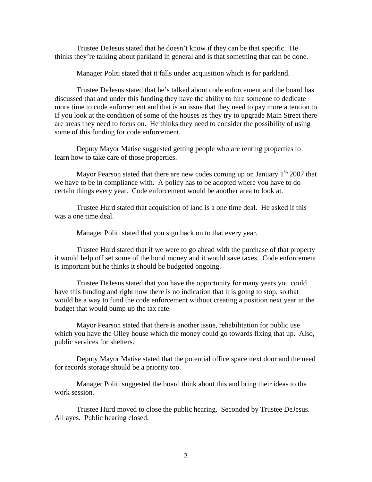Trustee DeJesus stated that he doesn't know if they can be that specific. He thinks they're talking about parkland in general and is that something that can be done.

Manager Politi stated that it falls under acquisition which is for parkland.

 Trustee DeJesus stated that he's talked about code enforcement and the board has discussed that and under this funding they have the ability to hire someone to dedicate more time to code enforcement and that is an issue that they need to pay more attention to. If you look at the condition of some of the houses as they try to upgrade Main Street there are areas they need to focus on. He thinks they need to consider the possibility of using some of this funding for code enforcement.

 Deputy Mayor Matise suggested getting people who are renting properties to learn how to take care of those properties.

Mayor Pearson stated that there are new codes coming up on January  $1<sup>st</sup>$ , 2007 that we have to be in compliance with. A policy has to be adopted where you have to do certain things every year. Code enforcement would be another area to look at.

 Trustee Hurd stated that acquisition of land is a one time deal. He asked if this was a one time deal.

Manager Politi stated that you sign back on to that every year.

 Trustee Hurd stated that if we were to go ahead with the purchase of that property it would help off set some of the bond money and it would save taxes. Code enforcement is important but he thinks it should be budgeted ongoing.

 Trustee DeJesus stated that you have the opportunity for many years you could have this funding and right now there is no indication that it is going to stop, so that would be a way to fund the code enforcement without creating a position next year in the budget that would bump up the tax rate.

 Mayor Pearson stated that there is another issue, rehabilitation for public use which you have the Olley house which the money could go towards fixing that up. Also, public services for shelters.

 Deputy Mayor Matise stated that the potential office space next door and the need for records storage should be a priority too.

Manager Politi suggested the board think about this and bring their ideas to the work session.

 Trustee Hurd moved to close the public hearing. Seconded by Trustee DeJesus. All ayes. Public hearing closed.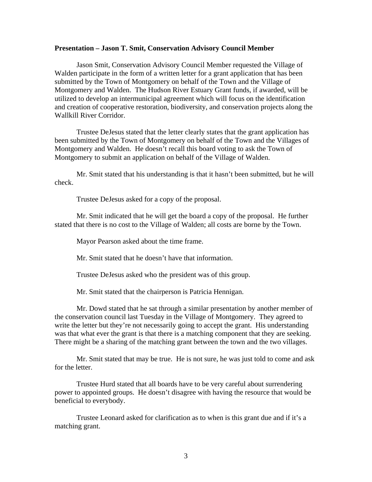#### **Presentation – Jason T. Smit, Conservation Advisory Council Member**

Jason Smit, Conservation Advisory Council Member requested the Village of Walden participate in the form of a written letter for a grant application that has been submitted by the Town of Montgomery on behalf of the Town and the Village of Montgomery and Walden. The Hudson River Estuary Grant funds, if awarded, will be utilized to develop an intermunicipal agreement which will focus on the identification and creation of cooperative restoration, biodiversity, and conservation projects along the Wallkill River Corridor.

 Trustee DeJesus stated that the letter clearly states that the grant application has been submitted by the Town of Montgomery on behalf of the Town and the Villages of Montgomery and Walden. He doesn't recall this board voting to ask the Town of Montgomery to submit an application on behalf of the Village of Walden.

 Mr. Smit stated that his understanding is that it hasn't been submitted, but he will check.

Trustee DeJesus asked for a copy of the proposal.

 Mr. Smit indicated that he will get the board a copy of the proposal. He further stated that there is no cost to the Village of Walden; all costs are borne by the Town.

Mayor Pearson asked about the time frame.

Mr. Smit stated that he doesn't have that information.

Trustee DeJesus asked who the president was of this group.

Mr. Smit stated that the chairperson is Patricia Hennigan.

 Mr. Dowd stated that he sat through a similar presentation by another member of the conservation council last Tuesday in the Village of Montgomery. They agreed to write the letter but they're not necessarily going to accept the grant. His understanding was that what ever the grant is that there is a matching component that they are seeking. There might be a sharing of the matching grant between the town and the two villages.

 Mr. Smit stated that may be true. He is not sure, he was just told to come and ask for the letter.

 Trustee Hurd stated that all boards have to be very careful about surrendering power to appointed groups. He doesn't disagree with having the resource that would be beneficial to everybody.

 Trustee Leonard asked for clarification as to when is this grant due and if it's a matching grant.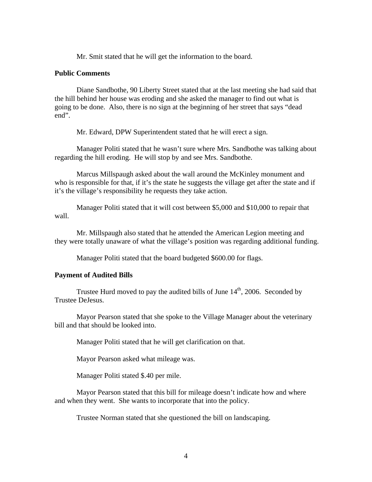Mr. Smit stated that he will get the information to the board.

#### **Public Comments**

Diane Sandbothe, 90 Liberty Street stated that at the last meeting she had said that the hill behind her house was eroding and she asked the manager to find out what is going to be done. Also, there is no sign at the beginning of her street that says "dead end".

Mr. Edward, DPW Superintendent stated that he will erect a sign.

 Manager Politi stated that he wasn't sure where Mrs. Sandbothe was talking about regarding the hill eroding. He will stop by and see Mrs. Sandbothe.

 Marcus Millspaugh asked about the wall around the McKinley monument and who is responsible for that, if it's the state he suggests the village get after the state and if it's the village's responsibility he requests they take action.

 Manager Politi stated that it will cost between \$5,000 and \$10,000 to repair that wall.

Mr. Millspaugh also stated that he attended the American Legion meeting and they were totally unaware of what the village's position was regarding additional funding.

Manager Politi stated that the board budgeted \$600.00 for flags.

#### **Payment of Audited Bills**

Trustee Hurd moved to pay the audited bills of June  $14<sup>th</sup>$ , 2006. Seconded by Trustee DeJesus.

 Mayor Pearson stated that she spoke to the Village Manager about the veterinary bill and that should be looked into.

Manager Politi stated that he will get clarification on that.

Mayor Pearson asked what mileage was.

Manager Politi stated \$.40 per mile.

 Mayor Pearson stated that this bill for mileage doesn't indicate how and where and when they went. She wants to incorporate that into the policy.

Trustee Norman stated that she questioned the bill on landscaping.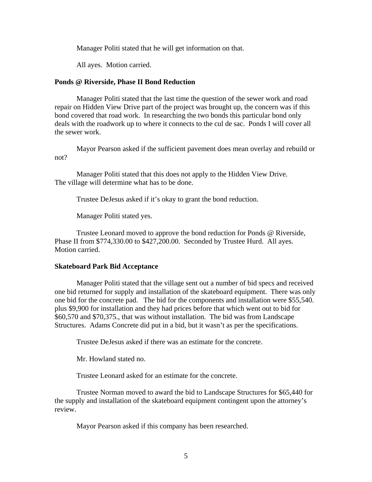Manager Politi stated that he will get information on that.

All ayes. Motion carried.

# **Ponds @ Riverside, Phase II Bond Reduction**

Manager Politi stated that the last time the question of the sewer work and road repair on Hidden View Drive part of the project was brought up, the concern was if this bond covered that road work. In researching the two bonds this particular bond only deals with the roadwork up to where it connects to the cul de sac. Ponds I will cover all the sewer work.

 Mayor Pearson asked if the sufficient pavement does mean overlay and rebuild or not?

 Manager Politi stated that this does not apply to the Hidden View Drive. The village will determine what has to be done.

Trustee DeJesus asked if it's okay to grant the bond reduction.

Manager Politi stated yes.

 Trustee Leonard moved to approve the bond reduction for Ponds @ Riverside, Phase II from \$774,330.00 to \$427,200.00. Seconded by Trustee Hurd. All ayes. Motion carried.

## **Skateboard Park Bid Acceptance**

Manager Politi stated that the village sent out a number of bid specs and received one bid returned for supply and installation of the skateboard equipment. There was only one bid for the concrete pad. The bid for the components and installation were \$55,540. plus \$9,900 for installation and they had prices before that which went out to bid for \$60,570 and \$70,375., that was without installation. The bid was from Landscape Structures. Adams Concrete did put in a bid, but it wasn't as per the specifications.

Trustee DeJesus asked if there was an estimate for the concrete.

Mr. Howland stated no.

Trustee Leonard asked for an estimate for the concrete.

Trustee Norman moved to award the bid to Landscape Structures for \$65,440 for the supply and installation of the skateboard equipment contingent upon the attorney's review.

Mayor Pearson asked if this company has been researched.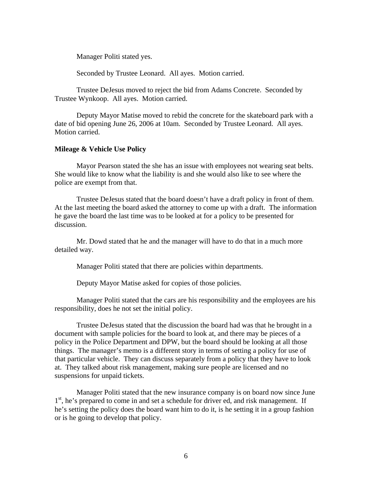Manager Politi stated yes.

Seconded by Trustee Leonard. All ayes. Motion carried.

Trustee DeJesus moved to reject the bid from Adams Concrete. Seconded by Trustee Wynkoop. All ayes. Motion carried.

 Deputy Mayor Matise moved to rebid the concrete for the skateboard park with a date of bid opening June 26, 2006 at 10am. Seconded by Trustee Leonard. All ayes. Motion carried.

### **Mileage & Vehicle Use Policy**

 Mayor Pearson stated the she has an issue with employees not wearing seat belts. She would like to know what the liability is and she would also like to see where the police are exempt from that.

 Trustee DeJesus stated that the board doesn't have a draft policy in front of them. At the last meeting the board asked the attorney to come up with a draft. The information he gave the board the last time was to be looked at for a policy to be presented for discussion.

 Mr. Dowd stated that he and the manager will have to do that in a much more detailed way.

Manager Politi stated that there are policies within departments.

Deputy Mayor Matise asked for copies of those policies.

 Manager Politi stated that the cars are his responsibility and the employees are his responsibility, does he not set the initial policy.

 Trustee DeJesus stated that the discussion the board had was that he brought in a document with sample policies for the board to look at, and there may be pieces of a policy in the Police Department and DPW, but the board should be looking at all those things. The manager's memo is a different story in terms of setting a policy for use of that particular vehicle. They can discuss separately from a policy that they have to look at. They talked about risk management, making sure people are licensed and no suspensions for unpaid tickets.

 Manager Politi stated that the new insurance company is on board now since June 1<sup>st</sup>, he's prepared to come in and set a schedule for driver ed, and risk management. If he's setting the policy does the board want him to do it, is he setting it in a group fashion or is he going to develop that policy.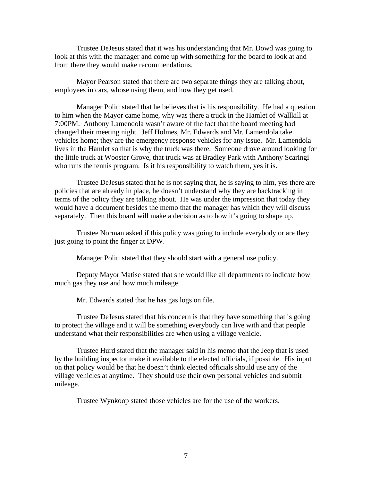Trustee DeJesus stated that it was his understanding that Mr. Dowd was going to look at this with the manager and come up with something for the board to look at and from there they would make recommendations.

 Mayor Pearson stated that there are two separate things they are talking about, employees in cars, whose using them, and how they get used.

 Manager Politi stated that he believes that is his responsibility. He had a question to him when the Mayor came home, why was there a truck in the Hamlet of Wallkill at 7:00PM. Anthony Lamendola wasn't aware of the fact that the board meeting had changed their meeting night. Jeff Holmes, Mr. Edwards and Mr. Lamendola take vehicles home; they are the emergency response vehicles for any issue. Mr. Lamendola lives in the Hamlet so that is why the truck was there. Someone drove around looking for the little truck at Wooster Grove, that truck was at Bradley Park with Anthony Scaringi who runs the tennis program. Is it his responsibility to watch them, yes it is.

 Trustee DeJesus stated that he is not saying that, he is saying to him, yes there are policies that are already in place, he doesn't understand why they are backtracking in terms of the policy they are talking about. He was under the impression that today they would have a document besides the memo that the manager has which they will discuss separately. Then this board will make a decision as to how it's going to shape up.

 Trustee Norman asked if this policy was going to include everybody or are they just going to point the finger at DPW.

Manager Politi stated that they should start with a general use policy.

 Deputy Mayor Matise stated that she would like all departments to indicate how much gas they use and how much mileage.

Mr. Edwards stated that he has gas logs on file.

 Trustee DeJesus stated that his concern is that they have something that is going to protect the village and it will be something everybody can live with and that people understand what their responsibilities are when using a village vehicle.

 Trustee Hurd stated that the manager said in his memo that the Jeep that is used by the building inspector make it available to the elected officials, if possible. His input on that policy would be that he doesn't think elected officials should use any of the village vehicles at anytime. They should use their own personal vehicles and submit mileage.

Trustee Wynkoop stated those vehicles are for the use of the workers.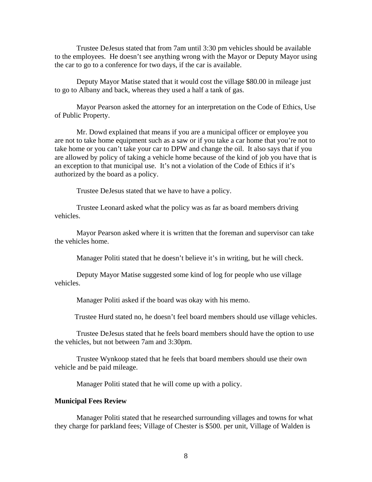Trustee DeJesus stated that from 7am until 3:30 pm vehicles should be available to the employees. He doesn't see anything wrong with the Mayor or Deputy Mayor using the car to go to a conference for two days, if the car is available.

 Deputy Mayor Matise stated that it would cost the village \$80.00 in mileage just to go to Albany and back, whereas they used a half a tank of gas.

 Mayor Pearson asked the attorney for an interpretation on the Code of Ethics, Use of Public Property.

 Mr. Dowd explained that means if you are a municipal officer or employee you are not to take home equipment such as a saw or if you take a car home that you're not to take home or you can't take your car to DPW and change the oil. It also says that if you are allowed by policy of taking a vehicle home because of the kind of job you have that is an exception to that municipal use. It's not a violation of the Code of Ethics if it's authorized by the board as a policy.

Trustee DeJesus stated that we have to have a policy.

 Trustee Leonard asked what the policy was as far as board members driving vehicles.

 Mayor Pearson asked where it is written that the foreman and supervisor can take the vehicles home.

Manager Politi stated that he doesn't believe it's in writing, but he will check.

 Deputy Mayor Matise suggested some kind of log for people who use village vehicles.

Manager Politi asked if the board was okay with his memo.

Trustee Hurd stated no, he doesn't feel board members should use village vehicles.

 Trustee DeJesus stated that he feels board members should have the option to use the vehicles, but not between 7am and 3:30pm.

 Trustee Wynkoop stated that he feels that board members should use their own vehicle and be paid mileage.

Manager Politi stated that he will come up with a policy.

## **Municipal Fees Review**

Manager Politi stated that he researched surrounding villages and towns for what they charge for parkland fees; Village of Chester is \$500. per unit, Village of Walden is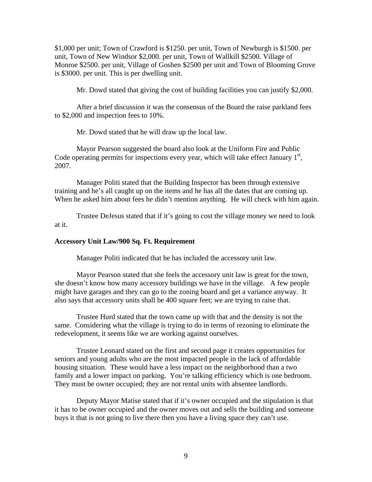\$1,000 per unit; Town of Crawford is \$1250. per unit, Town of Newburgh is \$1500. per unit, Town of New Windsor \$2,000. per unit, Town of Wallkill \$2500. Village of Monroe \$2500. per unit, Village of Goshen \$2500 per unit and Town of Blooming Grove is \$3000. per unit. This is per dwelling unit.

Mr. Dowd stated that giving the cost of building facilities you can justify \$2,000.

After a brief discussion it was the consensus of the Board the raise parkland fees to \$2,000 and inspection fees to 10%.

Mr. Dowd stated that he will draw up the local law.

 Mayor Pearson suggested the board also look at the Uniform Fire and Public Code operating permits for inspections every year, which will take effect January  $1<sup>st</sup>$ , 2007.

 Manager Politi stated that the Building Inspector has been through extensive training and he's all caught up on the items and he has all the dates that are coming up. When he asked him about fees he didn't mention anything. He will check with him again.

 Trustee DeJesus stated that if it's going to cost the village money we need to look at it.

## **Accessory Unit Law/900 Sq. Ft. Requirement**

Manager Politi indicated that he has included the accessory unit law.

 Mayor Pearson stated that she feels the accessory unit law is great for the town, she doesn't know how many accessory buildings we have in the village. A few people might have garages and they can go to the zoning board and get a variance anyway. It also says that accessory units shall be 400 square feet; we are trying to raise that.

 Trustee Hurd stated that the town came up with that and the density is not the same. Considering what the village is trying to do in terms of rezoning to eliminate the redevelopment, it seems like we are working against ourselves.

 Trustee Leonard stated on the first and second page it creates opportunities for seniors and young adults who are the most impacted people in the lack of affordable housing situation. These would have a less impact on the neighborhood than a two family and a lower impact on parking. You're talking efficiency which is one bedroom. They must be owner occupied; they are not rental units with absentee landlords.

 Deputy Mayor Matise stated that if it's owner occupied and the stipulation is that it has to be owner occupied and the owner moves out and sells the building and someone buys it that is not going to live there then you have a living space they can't use.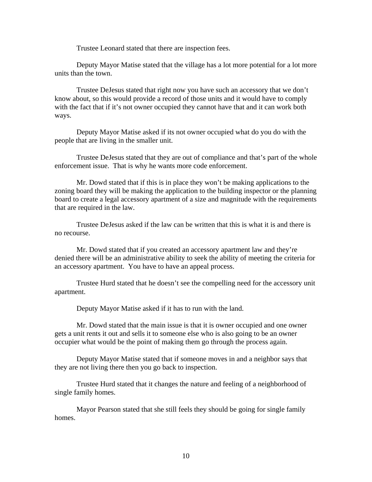Trustee Leonard stated that there are inspection fees.

 Deputy Mayor Matise stated that the village has a lot more potential for a lot more units than the town.

 Trustee DeJesus stated that right now you have such an accessory that we don't know about, so this would provide a record of those units and it would have to comply with the fact that if it's not owner occupied they cannot have that and it can work both ways.

 Deputy Mayor Matise asked if its not owner occupied what do you do with the people that are living in the smaller unit.

 Trustee DeJesus stated that they are out of compliance and that's part of the whole enforcement issue. That is why he wants more code enforcement.

 Mr. Dowd stated that if this is in place they won't be making applications to the zoning board they will be making the application to the building inspector or the planning board to create a legal accessory apartment of a size and magnitude with the requirements that are required in the law.

 Trustee DeJesus asked if the law can be written that this is what it is and there is no recourse.

 Mr. Dowd stated that if you created an accessory apartment law and they're denied there will be an administrative ability to seek the ability of meeting the criteria for an accessory apartment. You have to have an appeal process.

 Trustee Hurd stated that he doesn't see the compelling need for the accessory unit apartment.

Deputy Mayor Matise asked if it has to run with the land.

 Mr. Dowd stated that the main issue is that it is owner occupied and one owner gets a unit rents it out and sells it to someone else who is also going to be an owner occupier what would be the point of making them go through the process again.

 Deputy Mayor Matise stated that if someone moves in and a neighbor says that they are not living there then you go back to inspection.

 Trustee Hurd stated that it changes the nature and feeling of a neighborhood of single family homes.

 Mayor Pearson stated that she still feels they should be going for single family homes.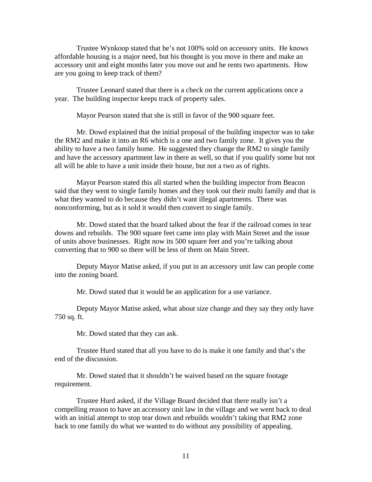Trustee Wynkoop stated that he's not 100% sold on accessory units. He knows affordable housing is a major need, but his thought is you move in there and make an accessory unit and eight months later you move out and he rents two apartments. How are you going to keep track of them?

 Trustee Leonard stated that there is a check on the current applications once a year. The building inspector keeps track of property sales.

Mayor Pearson stated that she is still in favor of the 900 square feet.

 Mr. Dowd explained that the initial proposal of the building inspector was to take the RM2 and make it into an R6 which is a one and two family zone. It gives you the ability to have a two family home. He suggested they change the RM2 to single family and have the accessory apartment law in there as well, so that if you qualify some but not all will be able to have a unit inside their house, but not a two as of rights.

 Mayor Pearson stated this all started when the building inspector from Beacon said that they went to single family homes and they took out their multi family and that is what they wanted to do because they didn't want illegal apartments. There was nonconforming, but as it sold it would then convert to single family.

 Mr. Dowd stated that the board talked about the fear if the railroad comes in tear downs and rebuilds. The 900 square feet came into play with Main Street and the issue of units above businesses. Right now its 500 square feet and you're talking about converting that to 900 so there will be less of them on Main Street.

 Deputy Mayor Matise asked, if you put in an accessory unit law can people come into the zoning board.

Mr. Dowd stated that it would be an application for a use variance.

 Deputy Mayor Matise asked, what about size change and they say they only have 750 sq. ft.

Mr. Dowd stated that they can ask.

 Trustee Hurd stated that all you have to do is make it one family and that's the end of the discussion.

Mr. Dowd stated that it shouldn't be waived based on the square footage requirement.

 Trustee Hurd asked, if the Village Board decided that there really isn't a compelling reason to have an accessory unit law in the village and we went back to deal with an initial attempt to stop tear down and rebuilds wouldn't taking that RM2 zone back to one family do what we wanted to do without any possibility of appealing.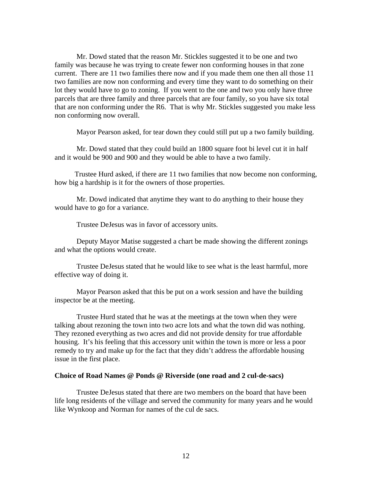Mr. Dowd stated that the reason Mr. Stickles suggested it to be one and two family was because he was trying to create fewer non conforming houses in that zone current. There are 11 two families there now and if you made them one then all those 11 two families are now non conforming and every time they want to do something on their lot they would have to go to zoning. If you went to the one and two you only have three parcels that are three family and three parcels that are four family, so you have six total that are non conforming under the R6. That is why Mr. Stickles suggested you make less non conforming now overall.

Mayor Pearson asked, for tear down they could still put up a two family building.

 Mr. Dowd stated that they could build an 1800 square foot bi level cut it in half and it would be 900 and 900 and they would be able to have a two family.

 Trustee Hurd asked, if there are 11 two families that now become non conforming, how big a hardship is it for the owners of those properties.

 Mr. Dowd indicated that anytime they want to do anything to their house they would have to go for a variance.

Trustee DeJesus was in favor of accessory units.

 Deputy Mayor Matise suggested a chart be made showing the different zonings and what the options would create.

 Trustee DeJesus stated that he would like to see what is the least harmful, more effective way of doing it.

 Mayor Pearson asked that this be put on a work session and have the building inspector be at the meeting.

 Trustee Hurd stated that he was at the meetings at the town when they were talking about rezoning the town into two acre lots and what the town did was nothing. They rezoned everything as two acres and did not provide density for true affordable housing. It's his feeling that this accessory unit within the town is more or less a poor remedy to try and make up for the fact that they didn't address the affordable housing issue in the first place.

# **Choice of Road Names @ Ponds @ Riverside (one road and 2 cul-de-sacs)**

Trustee DeJesus stated that there are two members on the board that have been life long residents of the village and served the community for many years and he would like Wynkoop and Norman for names of the cul de sacs.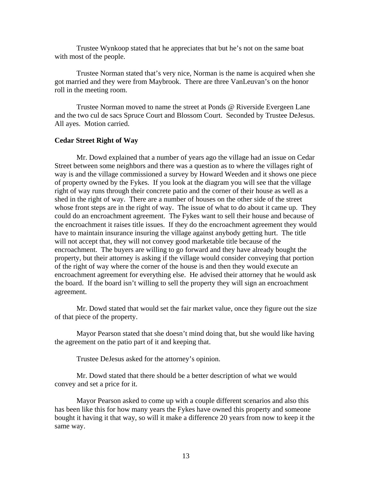Trustee Wynkoop stated that he appreciates that but he's not on the same boat with most of the people.

 Trustee Norman stated that's very nice, Norman is the name is acquired when she got married and they were from Maybrook. There are three VanLeuvan's on the honor roll in the meeting room.

Trustee Norman moved to name the street at Ponds @ Riverside Evergeen Lane and the two cul de sacs Spruce Court and Blossom Court. Seconded by Trustee DeJesus. All ayes. Motion carried.

### **Cedar Street Right of Way**

Mr. Dowd explained that a number of years ago the village had an issue on Cedar Street between some neighbors and there was a question as to where the villages right of way is and the village commissioned a survey by Howard Weeden and it shows one piece of property owned by the Fykes. If you look at the diagram you will see that the village right of way runs through their concrete patio and the corner of their house as well as a shed in the right of way. There are a number of houses on the other side of the street whose front steps are in the right of way. The issue of what to do about it came up. They could do an encroachment agreement. The Fykes want to sell their house and because of the encroachment it raises title issues. If they do the encroachment agreement they would have to maintain insurance insuring the village against anybody getting hurt. The title will not accept that, they will not convey good marketable title because of the encroachment. The buyers are willing to go forward and they have already bought the property, but their attorney is asking if the village would consider conveying that portion of the right of way where the corner of the house is and then they would execute an encroachment agreement for everything else. He advised their attorney that he would ask the board. If the board isn't willing to sell the property they will sign an encroachment agreement.

 Mr. Dowd stated that would set the fair market value, once they figure out the size of that piece of the property.

 Mayor Pearson stated that she doesn't mind doing that, but she would like having the agreement on the patio part of it and keeping that.

Trustee DeJesus asked for the attorney's opinion.

 Mr. Dowd stated that there should be a better description of what we would convey and set a price for it.

 Mayor Pearson asked to come up with a couple different scenarios and also this has been like this for how many years the Fykes have owned this property and someone bought it having it that way, so will it make a difference 20 years from now to keep it the same way.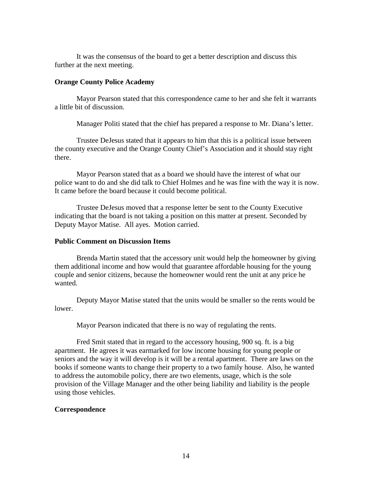It was the consensus of the board to get a better description and discuss this further at the next meeting.

## **Orange County Police Academy**

Mayor Pearson stated that this correspondence came to her and she felt it warrants a little bit of discussion.

Manager Politi stated that the chief has prepared a response to Mr. Diana's letter.

 Trustee DeJesus stated that it appears to him that this is a political issue between the county executive and the Orange County Chief's Association and it should stay right there.

 Mayor Pearson stated that as a board we should have the interest of what our police want to do and she did talk to Chief Holmes and he was fine with the way it is now. It came before the board because it could become political.

 Trustee DeJesus moved that a response letter be sent to the County Executive indicating that the board is not taking a position on this matter at present. Seconded by Deputy Mayor Matise. All ayes. Motion carried.

# **Public Comment on Discussion Items**

Brenda Martin stated that the accessory unit would help the homeowner by giving them additional income and how would that guarantee affordable housing for the young couple and senior citizens, because the homeowner would rent the unit at any price he wanted.

 Deputy Mayor Matise stated that the units would be smaller so the rents would be lower.

Mayor Pearson indicated that there is no way of regulating the rents.

 Fred Smit stated that in regard to the accessory housing, 900 sq. ft. is a big apartment. He agrees it was earmarked for low income housing for young people or seniors and the way it will develop is it will be a rental apartment. There are laws on the books if someone wants to change their property to a two family house. Also, he wanted to address the automobile policy, there are two elements, usage, which is the sole provision of the Village Manager and the other being liability and liability is the people using those vehicles.

# **Correspondence**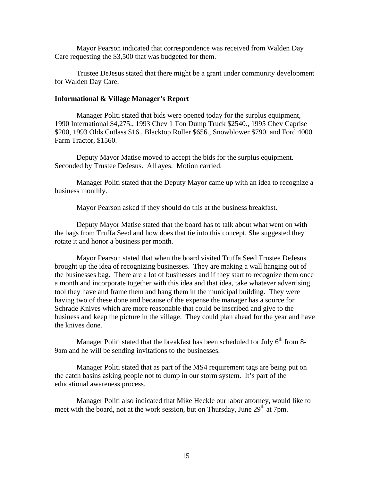Mayor Pearson indicated that correspondence was received from Walden Day Care requesting the \$3,500 that was budgeted for them.

 Trustee DeJesus stated that there might be a grant under community development for Walden Day Care.

### **Informational & Village Manager's Report**

Manager Politi stated that bids were opened today for the surplus equipment, 1990 International \$4,275., 1993 Chev 1 Ton Dump Truck \$2540., 1995 Chev Caprise \$200, 1993 Olds Cutlass \$16., Blacktop Roller \$656., Snowblower \$790. and Ford 4000 Farm Tractor, \$1560.

Deputy Mayor Matise moved to accept the bids for the surplus equipment. Seconded by Trustee DeJesus. All ayes. Motion carried.

Manager Politi stated that the Deputy Mayor came up with an idea to recognize a business monthly.

Mayor Pearson asked if they should do this at the business breakfast.

 Deputy Mayor Matise stated that the board has to talk about what went on with the bags from Truffa Seed and how does that tie into this concept. She suggested they rotate it and honor a business per month.

 Mayor Pearson stated that when the board visited Truffa Seed Trustee DeJesus brought up the idea of recognizing businesses. They are making a wall hanging out of the businesses bag. There are a lot of businesses and if they start to recognize them once a month and incorporate together with this idea and that idea, take whatever advertising tool they have and frame them and hang them in the municipal building. They were having two of these done and because of the expense the manager has a source for Schrade Knives which are more reasonable that could be inscribed and give to the business and keep the picture in the village. They could plan ahead for the year and have the knives done.

Manager Politi stated that the breakfast has been scheduled for July  $6<sup>th</sup>$  from 8-9am and he will be sending invitations to the businesses.

 Manager Politi stated that as part of the MS4 requirement tags are being put on the catch basins asking people not to dump in our storm system. It's part of the educational awareness process.

 Manager Politi also indicated that Mike Heckle our labor attorney, would like to meet with the board, not at the work session, but on Thursday, June  $29<sup>th</sup>$  at 7pm.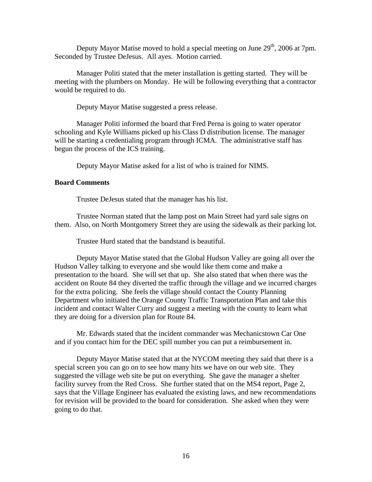Deputy Mayor Matise moved to hold a special meeting on June  $29<sup>th</sup>$ , 2006 at 7pm. Seconded by Trustee DeJesus. All ayes. Motion carried.

 Manager Politi stated that the meter installation is getting started. They will be meeting with the plumbers on Monday. He will be following everything that a contractor would be required to do.

Deputy Mayor Matise suggested a press release.

 Manager Politi informed the board that Fred Perna is going to water operator schooling and Kyle Williams picked up his Class D distribution license. The manager will be starting a credentialing program through ICMA. The administrative staff has begun the process of the ICS training.

Deputy Mayor Matise asked for a list of who is trained for NIMS.

### **Board Comments**

Trustee DeJesus stated that the manager has his list.

 Trustee Norman stated that the lamp post on Main Street had yard sale signs on them. Also, on North Montgomery Street they are using the sidewalk as their parking lot.

Trustee Hurd stated that the bandstand is beautiful.

 Deputy Mayor Matise stated that the Global Hudson Valley are going all over the Hudson Valley talking to everyone and she would like them come and make a presentation to the board. She will set that up. She also stated that when there was the accident on Route 84 they diverted the traffic through the village and we incurred charges for the extra policing. She feels the village should contact the County Planning Department who initiated the Orange County Traffic Transportation Plan and take this incident and contact Walter Curry and suggest a meeting with the county to learn what they are doing for a diversion plan for Route 84.

 Mr. Edwards stated that the incident commander was Mechanicstown Car One and if you contact him for the DEC spill number you can put a reimbursement in.

 Deputy Mayor Matise stated that at the NYCOM meeting they said that there is a special screen you can go on to see how many hits we have on our web site. They suggested the village web site be put on everything. She gave the manager a shelter facility survey from the Red Cross. She further stated that on the MS4 report, Page 2, says that the Village Engineer has evaluated the existing laws, and new recommendations for revision will be provided to the board for consideration. She asked when they were going to do that.